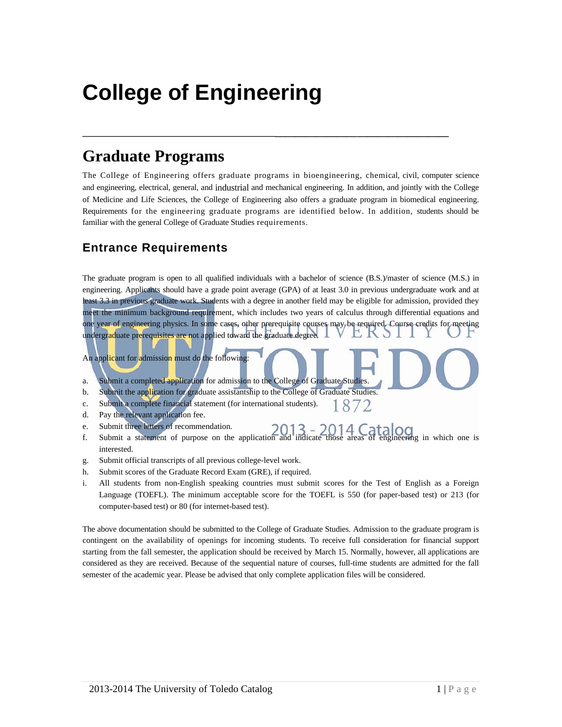# **College of Engineering**

# **Graduate Programs**

The College of Engineering offers graduate programs in bioengineering, chemical, civil, computer science and engineering, electrical, general, and industrial and mechanical engineering. In addition, and jointly with the College of Medicine and Life Sciences, the College of Engineering also offers a graduate program in biomedical engineering. Requirements for the engineering graduate programs are identified below. In addition, students should be familiar with the general College of Graduate Studies requirements.

**\_\_\_\_\_\_\_\_\_\_\_\_\_\_\_\_\_\_\_\_\_\_\_\_\_\_\_\_\_\_\_\_\_\_\_\_\_\_**

# **Entrance Requirements**

The graduate program is open to all qualified individuals with a bachelor of science (B.S.)/master of science (M.S.) in engineering. Applicants should have a grade point average (GPA) of at least 3.0 in previous undergraduate work and at least 3.3 in previous graduate work. Students with a degree in another field may be eligible for admission, provided they meet the minimum background requirement, which includes two years of calculus through differential equations and one year of engineering physics. In some cases, other prerequisite courses may be required. Course credits for meeting undergraduate prerequisites are not applied toward the graduate degree.

An applicant for admission must do the following:

- a. Submit a completed application for admission to the College of Graduate Studies.
- b. Submit the application for graduate assistantship to the College of Graduate Studies.
- c. Submit a complete financial statement (for international students). 1872
- d. Pay the relevant application fee.
- e. Submit three letters of recommendation.
- f. Submit a statement of purpose on the application and indicate those areas of engineering in which one is interested.
- g. Submit official transcripts of all previous college-level work.
- h. Submit scores of the Graduate Record Exam (GRE), if required.
- i. All students from non-English speaking countries must submit scores for the Test of English as a Foreign Language (TOEFL). The minimum acceptable score for the TOEFL is 550 (for paper-based test) or 213 (for computer-based test) or 80 (for internet-based test).

The above documentation should be submitted to the College of Graduate Studies. Admission to the graduate program is contingent on the availability of openings for incoming students. To receive full consideration for financial support starting from the fall semester, the application should be received by March 15. Normally, however, all applications are considered as they are received. Because of the sequential nature of courses, full-time students are admitted for the fall semester of the academic year. Please be advised that only complete application files will be considered.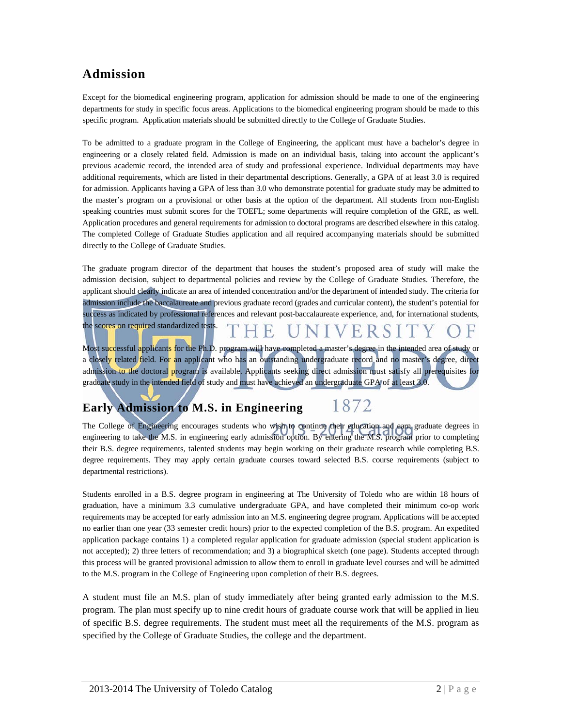# **Admission**

Except for the biomedical engineering program, application for admission should be made to one of the engineering departments for study in specific focus areas. Applications to the biomedical engineering program should be made to this specific program. Application materials should be submitted directly to the College of Graduate Studies.

To be admitted to a graduate program in the College of Engineering, the applicant must have a bachelor's degree in engineering or a closely related field. Admission is made on an individual basis, taking into account the applicant's previous academic record, the intended area of study and professional experience. Individual departments may have additional requirements, which are listed in their departmental descriptions. Generally, a GPA of at least 3.0 is required for admission. Applicants having a GPA of less than 3.0 who demonstrate potential for graduate study may be admitted to the master's program on a provisional or other basis at the option of the department. All students from non-English speaking countries must submit scores for the TOEFL; some departments will require completion of the GRE, as well. Application procedures and general requirements for admission to doctoral programs are described elsewhere in this catalog. The completed College of Graduate Studies application and all required accompanying materials should be submitted directly to the College of Graduate Studies.

The graduate program director of the department that houses the student's proposed area of study will make the admission decision, subject to departmental policies and review by the College of Graduate Studies. Therefore, the applicant should clearly indicate an area of intended concentration and/or the department of intended study. The criteria for admission include the baccalaureate and previous graduate record (grades and curricular content), the student's potential for success as indicated by professional references and relevant post-baccalaureate experience, and, for international students, the scores on required standardized tests.  $\mathbb{H}$  $\sqrt{}$  $H R S$ 

Most successful applicants for the Ph.D. program will have completed a master's degree in the intended area of study or a closely related field. For an applicant who has an outstanding undergraduate record and no master's degree, direct admission to the doctoral program is available. Applicants seeking direct admission must satisfy all prerequisites for graduate study in the intended field of study and must have achieved an undergraduate GPA of at least 3.0.

#### 1872 **Early Admission to M.S. in Engineering**

The College of Engineering encourages students who wish to continue their education and earn graduate degrees in engineering to take the M.S. in engineering early admission option. By entering the M.S. program prior to completing their B.S. degree requirements, talented students may begin working on their graduate research while completing B.S. degree requirements. They may apply certain graduate courses toward selected B.S. course requirements (subject to departmental restrictions).

Students enrolled in a B.S. degree program in engineering at The University of Toledo who are within 18 hours of graduation, have a minimum 3.3 cumulative undergraduate GPA, and have completed their minimum co-op work requirements may be accepted for early admission into an M.S. engineering degree program. Applications will be accepted no earlier than one year (33 semester credit hours) prior to the expected completion of the B.S. program. An expedited application package contains 1) a completed regular application for graduate admission (special student application is not accepted); 2) three letters of recommendation; and 3) a biographical sketch (one page). Students accepted through this process will be granted provisional admission to allow them to enroll in graduate level courses and will be admitted to the M.S. program in the College of Engineering upon completion of their B.S. degrees.

A student must file an M.S. plan of study immediately after being granted early admission to the M.S. program. The plan must specify up to nine credit hours of graduate course work that will be applied in lieu of specific B.S. degree requirements. The student must meet all the requirements of the M.S. program as specified by the College of Graduate Studies, the college and the department.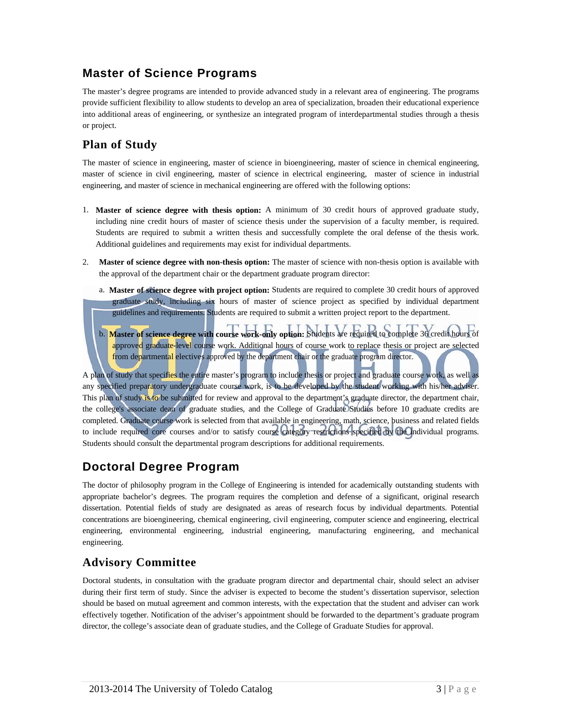# **Master of Science Programs**

The master's degree programs are intended to provide advanced study in a relevant area of engineering. The programs provide sufficient flexibility to allow students to develop an area of specialization, broaden their educational experience into additional areas of engineering, or synthesize an integrated program of interdepartmental studies through a thesis or project.

# **Plan of Study**

The master of science in engineering, master of science in bioengineering, master of science in chemical engineering, master of science in civil engineering, master of science in electrical engineering, master of science in industrial engineering, and master of science in mechanical engineering are offered with the following options:

- 1. **Master of science degree with thesis option:** A minimum of 30 credit hours of approved graduate study, including nine credit hours of master of science thesis under the supervision of a faculty member, is required. Students are required to submit a written thesis and successfully complete the oral defense of the thesis work. Additional guidelines and requirements may exist for individual departments.
- 2. **Master of science degree with non-thesis option:** The master of science with non-thesis option is available with the approval of the department chair or the department graduate program director:
	- a. **Master of science degree with project option:** Students are required to complete 30 credit hours of approved graduate study, including six hours of master of science project as specified by individual department guidelines and requirements. Students are required to submit a written project report to the department.
	- b. **Master of science degree with course work-only option:** Students are required to complete 36 credit hours of approved graduate-level course work. Additional hours of course work to replace thesis or project are selected from departmental electives approved by the department chair or the graduate program director.

A plan of study that specifies the entire master's program to include thesis or project and graduate course work, as well as any specified preparatory undergraduate course work, is to be developed by the student working with his/her adviser. This plan of study is to be submitted for review and approval to the department's graduate director, the department chair, the college's associate dean of graduate studies, and the College of Graduate Studies before 10 graduate credits are completed. Graduate course work is selected from that available in engineering, math, science, business and related fields to include required core courses and/or to satisfy course category restrictions specified by the individual programs. Students should consult the departmental program descriptions for additional requirements.

# **Doctoral Degree Program**

The doctor of philosophy program in the College of Engineering is intended for academically outstanding students with appropriate bachelor's degrees. The program requires the completion and defense of a significant, original research dissertation. Potential fields of study are designated as areas of research focus by individual departments. Potential concentrations are bioengineering, chemical engineering, civil engineering, computer science and engineering, electrical engineering, environmental engineering, industrial engineering, manufacturing engineering, and mechanical engineering.

### **Advisory Committee**

Doctoral students, in consultation with the graduate program director and departmental chair, should select an adviser during their first term of study. Since the adviser is expected to become the student's dissertation supervisor, selection should be based on mutual agreement and common interests, with the expectation that the student and adviser can work effectively together. Notification of the adviser's appointment should be forwarded to the department's graduate program director, the college's associate dean of graduate studies, and the College of Graduate Studies for approval.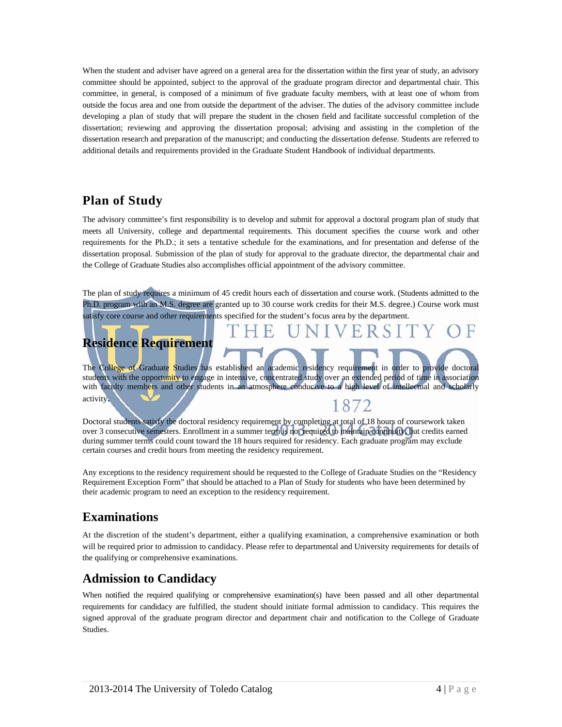When the student and adviser have agreed on a general area for the dissertation within the first year of study, an advisory committee should be appointed, subject to the approval of the graduate program director and departmental chair. This committee, in general, is composed of a minimum of five graduate faculty members, with at least one of whom from outside the focus area and one from outside the department of the adviser. The duties of the advisory committee include developing a plan of study that will prepare the student in the chosen field and facilitate successful completion of the dissertation; reviewing and approving the dissertation proposal; advising and assisting in the completion of the dissertation research and preparation of the manuscript; and conducting the dissertation defense. Students are referred to additional details and requirements provided in the Graduate Student Handbook of individual departments.

# **Plan of Study**

The advisory committee's first responsibility is to develop and submit for approval a doctoral program plan of study that meets all University, college and departmental requirements. This document specifies the course work and other requirements for the Ph.D.; it sets a tentative schedule for the examinations, and for presentation and defense of the dissertation proposal. Submission of the plan of study for approval to the graduate director, the departmental chair and the College of Graduate Studies also accomplishes official appointment of the advisory committee.

The plan of study requires a minimum of 45 credit hours each of dissertation and course work. (Students admitted to the Ph.D. program with an M.S. degree are granted up to 30 course work credits for their M.S. degree.) Course work must satisfy core course and other requirements specified for the student's focus area by the department.

# **Residence Requirement**

The College of Graduate Studies has established an academic residency requirement in order to provide doctoral students with the opportunity to engage in intensive, concentrated study over an extended period of time in association with faculty members and other students in an atmosphere conducive to a high level of intellectual and scholarly activity. 1872

Doctoral students satisfy the doctoral residency requirement by completing at total of 18 hours of coursework taken over 3 consecutive semesters. Enrollment in a summer term is not required to maintain continuity, but credits earned during summer terms could count toward the 18 hours required for residency. Each graduate program may exclude certain courses and credit hours from meeting the residency requirement.

Any exceptions to the residency requirement should be requested to the College of Graduate Studies on the "Residency Requirement Exception Form" that should be attached to a Plan of Study for students who have been determined by their academic program to need an exception to the residency requirement.

# **Examinations**

At the discretion of the student's department, either a qualifying examination, a comprehensive examination or both will be required prior to admission to candidacy. Please refer to departmental and University requirements for details of the qualifying or comprehensive examinations.

# **Admission to Candidacy**

When notified the required qualifying or comprehensive examination(s) have been passed and all other departmental requirements for candidacy are fulfilled, the student should initiate formal admission to candidacy. This requires the signed approval of the graduate program director and department chair and notification to the College of Graduate Studies.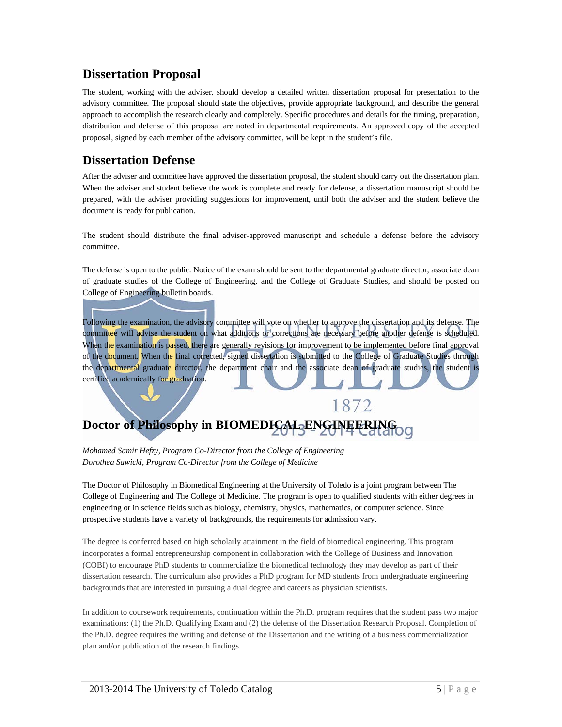### **Dissertation Proposal**

The student, working with the adviser, should develop a detailed written dissertation proposal for presentation to the advisory committee. The proposal should state the objectives, provide appropriate background, and describe the general approach to accomplish the research clearly and completely. Specific procedures and details for the timing, preparation, distribution and defense of this proposal are noted in departmental requirements. An approved copy of the accepted proposal, signed by each member of the advisory committee, will be kept in the student's file.

## **Dissertation Defense**

After the adviser and committee have approved the dissertation proposal, the student should carry out the dissertation plan. When the adviser and student believe the work is complete and ready for defense, a dissertation manuscript should be prepared, with the adviser providing suggestions for improvement, until both the adviser and the student believe the document is ready for publication.

The student should distribute the final adviser-approved manuscript and schedule a defense before the advisory committee.

The defense is open to the public. Notice of the exam should be sent to the departmental graduate director, associate dean of graduate studies of the College of Engineering, and the College of Graduate Studies, and should be posted on College of Engineering bulletin boards.

Following the examination, the advisory committee will vote on whether to approve the dissertation and its defense. The committee will advise the student on what additions or corrections are necessary before another defense is scheduled. When the examination is passed, there are generally revisions for improvement to be implemented before final approval of the document. When the final corrected, signed dissertation is submitted to the College of Graduate Studies through the departmental graduate director, the department chair and the associate dean of graduate studies, the student is certified academically for graduation.

1872

# **Doctor of Philosophy in BIOMEDICAL ENGINEERING**

*Mohamed Samir Hefzy, Program Co-Director from the College of Engineering Dorothea Sawicki, Program Co-Director from the College of Medicine* 

The Doctor of Philosophy in Biomedical Engineering at the University of Toledo is a joint program between The College of Engineering and The College of Medicine. The program is open to qualified students with either degrees in engineering or in science fields such as biology, chemistry, physics, mathematics, or computer science. Since prospective students have a variety of backgrounds, the requirements for admission vary.

The degree is conferred based on high scholarly attainment in the field of biomedical engineering. This program incorporates a formal entrepreneurship component in collaboration with the College of Business and Innovation (COBI) to encourage PhD students to commercialize the biomedical technology they may develop as part of their dissertation research. The curriculum also provides a PhD program for MD students from undergraduate engineering backgrounds that are interested in pursuing a dual degree and careers as physician scientists.

In addition to coursework requirements, continuation within the Ph.D. program requires that the student pass two major examinations: (1) the Ph.D. Qualifying Exam and (2) the defense of the Dissertation Research Proposal. Completion of the Ph.D. degree requires the writing and defense of the Dissertation and the writing of a business commercialization plan and/or publication of the research findings.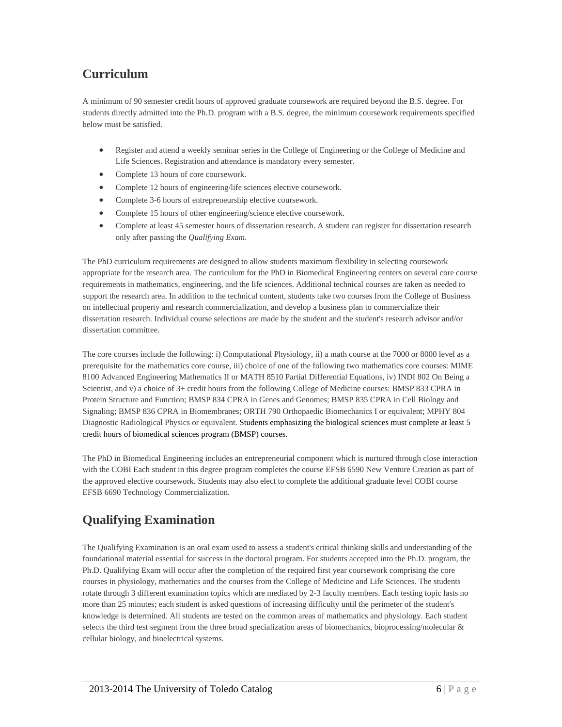# **Curriculum**

A minimum of 90 semester credit hours of approved graduate coursework are required beyond the B.S. degree. For students directly admitted into the Ph.D. program with a B.S. degree, the minimum coursework requirements specified below must be satisfied.

- Register and attend a weekly seminar series in the College of Engineering or the College of Medicine and Life Sciences. Registration and attendance is mandatory every semester.
- Complete 13 hours of core coursework.
- Complete 12 hours of engineering/life sciences elective coursework.
- Complete 3-6 hours of entrepreneurship elective coursework.
- Complete 15 hours of other engineering/science elective coursework.
- Complete at least 45 semester hours of dissertation research. A student can register for dissertation research only after passing the *Qualifying Exam*.

The PhD curriculum requirements are designed to allow students maximum flexibility in selecting coursework appropriate for the research area. The curriculum for the PhD in Biomedical Engineering centers on several core course requirements in mathematics, engineering, and the life sciences. Additional technical courses are taken as needed to support the research area. In addition to the technical content, students take two courses from the College of Business on intellectual property and research commercialization, and develop a business plan to commercialize their dissertation research. Individual course selections are made by the student and the student's research advisor and/or dissertation committee.

The core courses include the following: i) Computational Physiology, ii) a math course at the 7000 or 8000 level as a prerequisite for the mathematics core course, iii) choice of one of the following two mathematics core courses: MIME 8100 Advanced Engineering Mathematics II or MATH 8510 Partial Differential Equations, iv) INDI 802 On Being a Scientist, and v) a choice of 3+ credit hours from the following College of Medicine courses: BMSP 833 CPRA in Protein Structure and Function; BMSP 834 CPRA in Genes and Genomes; BMSP 835 CPRA in Cell Biology and Signaling; BMSP 836 CPRA in Biomembranes; ORTH 790 Orthopaedic Biomechanics I or equivalent; MPHY 804 Diagnostic Radiological Physics or equivalent. Students emphasizing the biological sciences must complete at least 5 credit hours of biomedical sciences program (BMSP) courses.

The PhD in Biomedical Engineering includes an entrepreneurial component which is nurtured through close interaction with the COBI Each student in this degree program completes the course EFSB 6590 New Venture Creation as part of the approved elective coursework. Students may also elect to complete the additional graduate level COBI course EFSB 6690 Technology Commercialization.

# **Qualifying Examination**

The Qualifying Examination is an oral exam used to assess a student's critical thinking skills and understanding of the foundational material essential for success in the doctoral program. For students accepted into the Ph.D. program, the Ph.D. Qualifying Exam will occur after the completion of the required first year coursework comprising the core courses in physiology, mathematics and the courses from the College of Medicine and Life Sciences. The students rotate through 3 different examination topics which are mediated by 2-3 faculty members. Each testing topic lasts no more than 25 minutes; each student is asked questions of increasing difficulty until the perimeter of the student's knowledge is determined. All students are tested on the common areas of mathematics and physiology. Each student selects the third test segment from the three broad specialization areas of biomechanics, bioprocessing/molecular & cellular biology, and bioelectrical systems.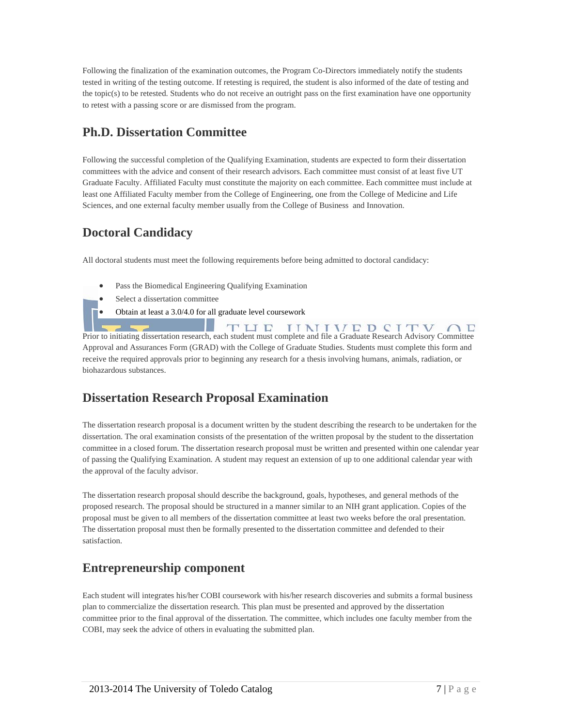Following the finalization of the examination outcomes, the Program Co-Directors immediately notify the students tested in writing of the testing outcome. If retesting is required, the student is also informed of the date of testing and the topic(s) to be retested. Students who do not receive an outright pass on the first examination have one opportunity to retest with a passing score or are dismissed from the program.

## **Ph.D. Dissertation Committee**

Following the successful completion of the Qualifying Examination, students are expected to form their dissertation committees with the advice and consent of their research advisors. Each committee must consist of at least five UT Graduate Faculty. Affiliated Faculty must constitute the majority on each committee. Each committee must include at least one Affiliated Faculty member from the College of Engineering, one from the College of Medicine and Life Sciences, and one external faculty member usually from the College of Business and Innovation.

# **Doctoral Candidacy**

All doctoral students must meet the following requirements before being admitted to doctoral candidacy:

- Pass the Biomedical Engineering Qualifying Examination
- Select a dissertation committee
- Obtain at least a 3.0/4.0 for all graduate level coursework

TUE **IINIVED CITV**  $\cap$   $\Gamma$ Prior to initiating dissertation research, each student must complete and file a Graduate Research Advisory Committee Approval and Assurances Form (GRAD) with the College of Graduate Studies. Students must complete this form and receive the required approvals prior to beginning any research for a thesis involving humans, animals, radiation, or biohazardous substances.

# **Dissertation Research Proposal Examination**

The dissertation research proposal is a document written by the student describing the research to be undertaken for the dissertation. The oral examination consists of the presentation of the written proposal by the student to the dissertation committee in a closed forum. The dissertation research proposal must be written and presented within one calendar year of passing the Qualifying Examination. A student may request an extension of up to one additional calendar year with the approval of the faculty advisor.

The dissertation research proposal should describe the background, goals, hypotheses, and general methods of the proposed research. The proposal should be structured in a manner similar to an NIH grant application. Copies of the proposal must be given to all members of the dissertation committee at least two weeks before the oral presentation. The dissertation proposal must then be formally presented to the dissertation committee and defended to their satisfaction.

# **Entrepreneurship component**

Each student will integrates his/her COBI coursework with his/her research discoveries and submits a formal business plan to commercialize the dissertation research. This plan must be presented and approved by the dissertation committee prior to the final approval of the dissertation. The committee, which includes one faculty member from the COBI, may seek the advice of others in evaluating the submitted plan.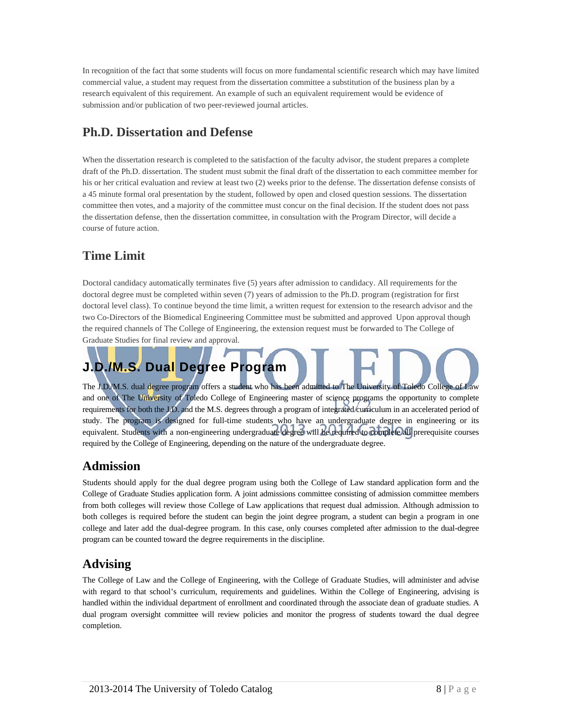In recognition of the fact that some students will focus on more fundamental scientific research which may have limited commercial value, a student may request from the dissertation committee a substitution of the business plan by a research equivalent of this requirement. An example of such an equivalent requirement would be evidence of submission and/or publication of two peer-reviewed journal articles.

# **Ph.D. Dissertation and Defense**

When the dissertation research is completed to the satisfaction of the faculty advisor, the student prepares a complete draft of the Ph.D. dissertation. The student must submit the final draft of the dissertation to each committee member for his or her critical evaluation and review at least two (2) weeks prior to the defense. The dissertation defense consists of a 45 minute formal oral presentation by the student, followed by open and closed question sessions. The dissertation committee then votes, and a majority of the committee must concur on the final decision. If the student does not pass the dissertation defense, then the dissertation committee, in consultation with the Program Director, will decide a course of future action.

# **Time Limit**

Doctoral candidacy automatically terminates five (5) years after admission to candidacy. All requirements for the doctoral degree must be completed within seven (7) years of admission to the Ph.D. program (registration for first doctoral level class). To continue beyond the time limit, a written request for extension to the research advisor and the two Co-Directors of the Biomedical Engineering Committee must be submitted and approved Upon approval though the required channels of The College of Engineering, the extension request must be forwarded to The College of Graduate Studies for final review and approval.

# **J.D./M.S. Dual Degree Program**

The J.D./M.S. dual degree program offers a student who has been admitted to The University of Toledo College of Law and one of The University of Toledo College of Engineering master of science programs the opportunity to complete requirements for both the J.D. and the M.S. degrees through a program of integrated curriculum in an accelerated period of study. The program is designed for full-time students who have an undergraduate degree in engineering or its equivalent. Students with a non-engineering undergraduate degree will be required to complete all prerequisite courses required by the College of Engineering, depending on the nature of the undergraduate degree.

# **Admission**

Students should apply for the dual degree program using both the College of Law standard application form and the College of Graduate Studies application form. A joint admissions committee consisting of admission committee members from both colleges will review those College of Law applications that request dual admission. Although admission to both colleges is required before the student can begin the joint degree program, a student can begin a program in one college and later add the dual-degree program. In this case, only courses completed after admission to the dual-degree program can be counted toward the degree requirements in the discipline.

# **Advising**

The College of Law and the College of Engineering, with the College of Graduate Studies, will administer and advise with regard to that school's curriculum, requirements and guidelines. Within the College of Engineering, advising is handled within the individual department of enrollment and coordinated through the associate dean of graduate studies. A dual program oversight committee will review policies and monitor the progress of students toward the dual degree completion.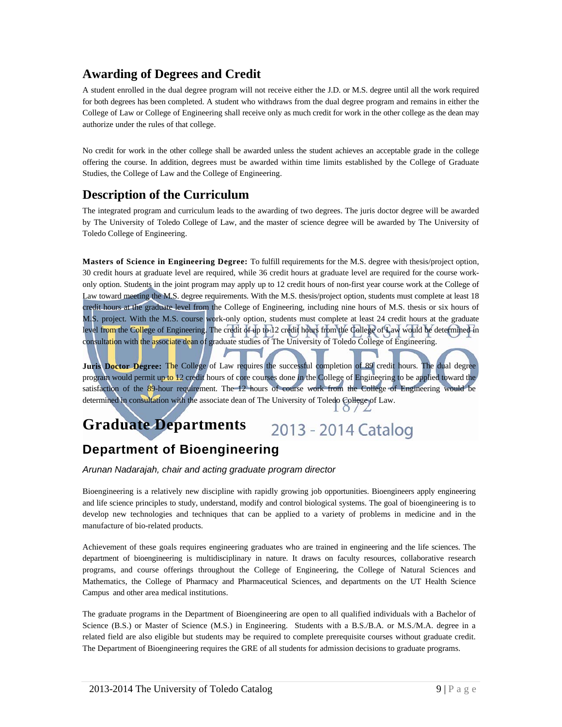### **Awarding of Degrees and Credit**

A student enrolled in the dual degree program will not receive either the J.D. or M.S. degree until all the work required for both degrees has been completed. A student who withdraws from the dual degree program and remains in either the College of Law or College of Engineering shall receive only as much credit for work in the other college as the dean may authorize under the rules of that college.

No credit for work in the other college shall be awarded unless the student achieves an acceptable grade in the college offering the course. In addition, degrees must be awarded within time limits established by the College of Graduate Studies, the College of Law and the College of Engineering.

### **Description of the Curriculum**

The integrated program and curriculum leads to the awarding of two degrees. The juris doctor degree will be awarded by The University of Toledo College of Law, and the master of science degree will be awarded by The University of Toledo College of Engineering.

**Masters of Science in Engineering Degree:** To fulfill requirements for the M.S. degree with thesis/project option, 30 credit hours at graduate level are required, while 36 credit hours at graduate level are required for the course workonly option. Students in the joint program may apply up to 12 credit hours of non-first year course work at the College of Law toward meeting the M.S. degree requirements. With the M.S. thesis/project option, students must complete at least 18 credit hours at the graduate level from the College of Engineering, including nine hours of M.S. thesis or six hours of M.S. project. With the M.S. course work-only option, students must complete at least 24 credit hours at the graduate level from the College of Engineering. The credit of up to 12 credit hours from the College of Law would be determined in consultation with the associate dean of graduate studies of The University of Toledo College of Engineering.

**Juris Doctor Degree:** The College of Law requires the successful completion of 89 credit hours. The dual degree program would permit up to 12 credit hours of core courses done in the College of Engineering to be applied toward the satisfaction of the 89-hour requirement. The 12 hours of course work from the College of Engineering would be determined in consultation with the associate dean of The University of Toledo College of Law.

#### **Graduate Departments**  2013 - 2014 Catalog

# **Department of Bioengineering**

*Arunan Nadarajah, chair and acting graduate program director* 

Bioengineering is a relatively new discipline with rapidly growing job opportunities. Bioengineers apply engineering and life science principles to study, understand, modify and control biological systems. The goal of bioengineering is to develop new technologies and techniques that can be applied to a variety of problems in medicine and in the manufacture of bio-related products.

Achievement of these goals requires engineering graduates who are trained in engineering and the life sciences. The department of bioengineering is multidisciplinary in nature. It draws on faculty resources, collaborative research programs, and course offerings throughout the College of Engineering, the College of Natural Sciences and Mathematics, the College of Pharmacy and Pharmaceutical Sciences, and departments on the UT Health Science Campus and other area medical institutions.

The graduate programs in the Department of Bioengineering are open to all qualified individuals with a Bachelor of Science (B.S.) or Master of Science (M.S.) in Engineering. Students with a B.S./B.A. or M.S./M.A. degree in a related field are also eligible but students may be required to complete prerequisite courses without graduate credit. The Department of Bioengineering requires the GRE of all students for admission decisions to graduate programs.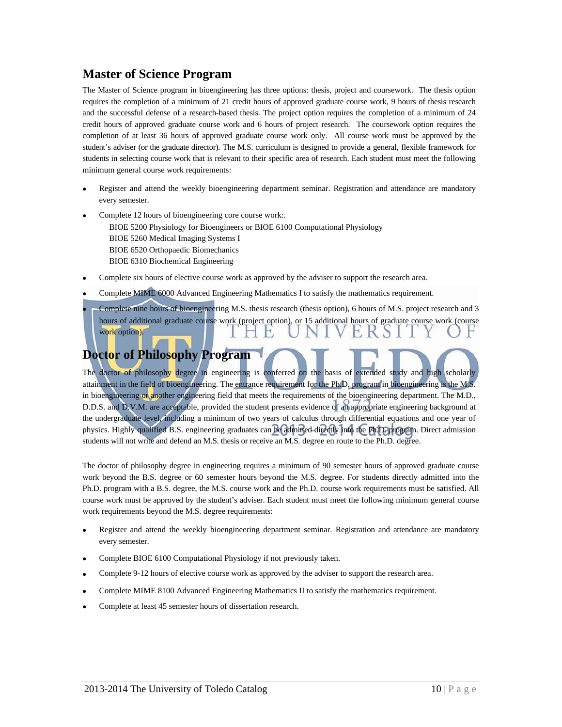# **Master of Science Program**

The Master of Science program in bioengineering has three options: thesis, project and coursework. The thesis option requires the completion of a minimum of 21 credit hours of approved graduate course work, 9 hours of thesis research and the successful defense of a research-based thesis. The project option requires the completion of a minimum of 24 credit hours of approved graduate course work and 6 hours of project research. The coursework option requires the completion of at least 36 hours of approved graduate course work only. All course work must be approved by the student's adviser (or the graduate director). The M.S. curriculum is designed to provide a general, flexible framework for students in selecting course work that is relevant to their specific area of research. Each student must meet the following minimum general course work requirements:

- Register and attend the weekly bioengineering department seminar. Registration and attendance are mandatory every semester.
- Complete 12 hours of bioengineering core course work:. BIOE 5200 Physiology for Bioengineers or BIOE 6100 Computational Physiology BIOE 5260 Medical Imaging Systems I BIOE 6520 Orthopaedic Biomechanics BIOE 6310 Biochemical Engineering
- Complete six hours of elective course work as approved by the adviser to support the research area.
- Complete MIME 6000 Advanced Engineering Mathematics I to satisfy the mathematics requirement.
- Complete nine hours of bioengineering M.S. thesis research (thesis option), 6 hours of M.S. project research and 3 hours of additional graduate course work (project option), or 15 additional hours of graduate course work (course work option).

### **Doctor of Philosophy Program**

The doctor of philosophy degree in engineering is conferred on the basis of extended study and high scholarly attainment in the field of bioengineering. The entrance requirement for the Ph.D. program in bioengineering is the M.S. in bioengineering or another engineering field that meets the requirements of the bioengineering department. The M.D., D.D.S. and D.V.M. are acceptable, provided the student presents evidence of an appropriate engineering background at the undergraduate level, including a minimum of two years of calculus through differential equations and one year of physics. Highly qualified B.S. engineering graduates can be admitted directly into the Ph.D. program. Direct admission students will not write and defend an M.S. thesis or receive an M.S. degree en route to the Ph.D. degree.

The doctor of philosophy degree in engineering requires a minimum of 90 semester hours of approved graduate course work beyond the B.S. degree or 60 semester hours beyond the M.S. degree. For students directly admitted into the Ph.D. program with a B.S. degree, the M.S. course work and the Ph.D. course work requirements must be satisfied. All course work must be approved by the student's adviser. Each student must meet the following minimum general course work requirements beyond the M.S. degree requirements:

- Register and attend the weekly bioengineering department seminar. Registration and attendance are mandatory every semester.
- Complete BIOE 6100 Computational Physiology if not previously taken.
- Complete 9-12 hours of elective course work as approved by the adviser to support the research area.
- Complete MIME 8100 Advanced Engineering Mathematics II to satisfy the mathematics requirement.
- Complete at least 45 semester hours of dissertation research.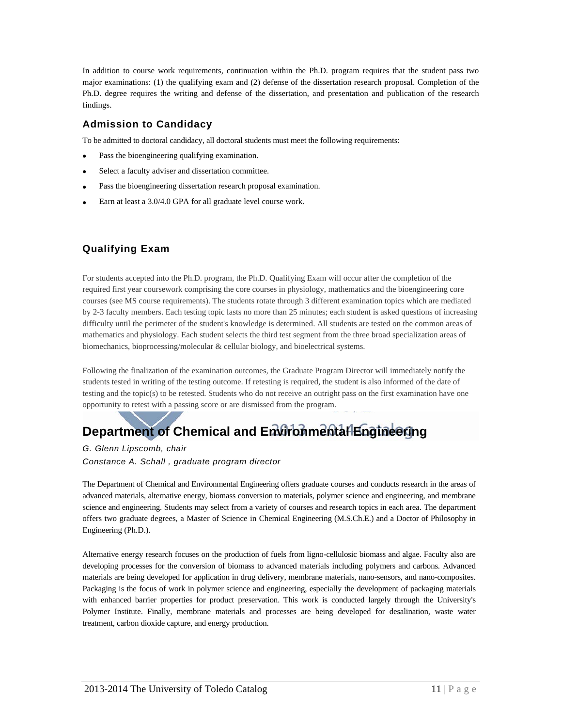In addition to course work requirements, continuation within the Ph.D. program requires that the student pass two major examinations: (1) the qualifying exam and (2) defense of the dissertation research proposal. Completion of the Ph.D. degree requires the writing and defense of the dissertation, and presentation and publication of the research findings.

### **Admission to Candidacy**

To be admitted to doctoral candidacy, all doctoral students must meet the following requirements:

- Pass the bioengineering qualifying examination.
- Select a faculty adviser and dissertation committee.
- Pass the bioengineering dissertation research proposal examination.
- Earn at least a 3.0/4.0 GPA for all graduate level course work.

### **Qualifying Exam**

For students accepted into the Ph.D. program, the Ph.D. Qualifying Exam will occur after the completion of the required first year coursework comprising the core courses in physiology, mathematics and the bioengineering core courses (see MS course requirements). The students rotate through 3 different examination topics which are mediated by 2-3 faculty members. Each testing topic lasts no more than 25 minutes; each student is asked questions of increasing difficulty until the perimeter of the student's knowledge is determined. All students are tested on the common areas of mathematics and physiology. Each student selects the third test segment from the three broad specialization areas of biomechanics, bioprocessing/molecular & cellular biology, and bioelectrical systems.

Following the finalization of the examination outcomes, the Graduate Program Director will immediately notify the students tested in writing of the testing outcome. If retesting is required, the student is also informed of the date of testing and the topic(s) to be retested. Students who do not receive an outright pass on the first examination have one opportunity to retest with a passing score or are dismissed from the program.

# **Department of Chemical and Environmental Engineering**

#### *G. Glenn Lipscomb, chair*

*Constance A. Schall , graduate program director* 

The Department of Chemical and Environmental Engineering offers graduate courses and conducts research in the areas of advanced materials, alternative energy, biomass conversion to materials, polymer science and engineering, and membrane science and engineering. Students may select from a variety of courses and research topics in each area. The department offers two graduate degrees, a Master of Science in Chemical Engineering (M.S.Ch.E.) and a Doctor of Philosophy in Engineering (Ph.D.).

Alternative energy research focuses on the production of fuels from ligno-cellulosic biomass and algae. Faculty also are developing processes for the conversion of biomass to advanced materials including polymers and carbons. Advanced materials are being developed for application in drug delivery, membrane materials, nano-sensors, and nano-composites. Packaging is the focus of work in polymer science and engineering, especially the development of packaging materials with enhanced barrier properties for product preservation. This work is conducted largely through the University's Polymer Institute. Finally, membrane materials and processes are being developed for desalination, waste water treatment, carbon dioxide capture, and energy production.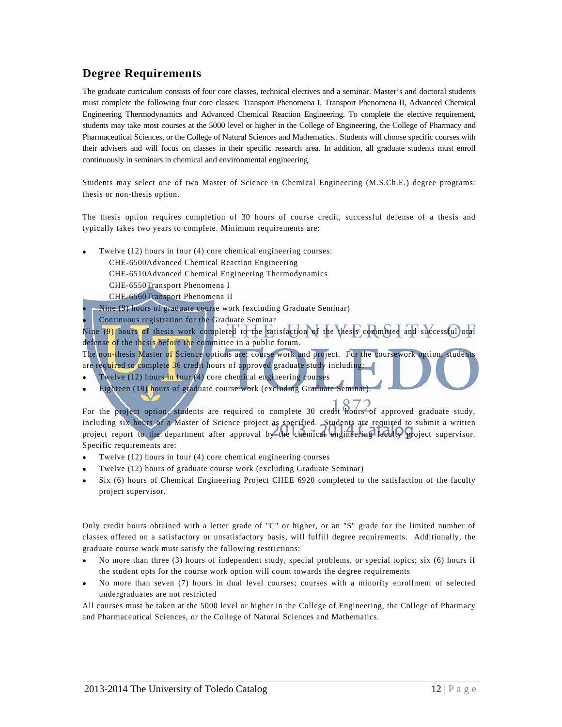### **Degree Requirements**

The graduate curriculum consists of four core classes, technical electives and a seminar. Master's and doctoral students must complete the following four core classes: Transport Phenomena I, Transport Phenomena II, Advanced Chemical Engineering Thermodynamics and Advanced Chemical Reaction Engineering. To complete the elective requirement, students may take most courses at the 5000 level or higher in the College of Engineering, the College of Pharmacy and Pharmaceutical Sciences, or the College of Natural Sciences and Mathematics.. Students will choose specific courses with their advisers and will focus on classes in their specific research area. In addition, all graduate students must enroll continuously in seminars in chemical and environmental engineering.

Students may select one of two Master of Science in Chemical Engineering (M.S.Ch.E.) degree programs: thesis or non-thesis option.

The thesis option requires completion of 30 hours of course credit, successful defense of a thesis and typically takes two years to complete. Minimum requirements are:

- Twelve (12) hours in four (4) core chemical engineering courses:
	- CHE-6500Advanced Chemical Reaction Engineering
	- CHE-6510Advanced Chemical Engineering Thermodynamics
	- CHE-6550Transport Phenomena I
	- CHE-6560Transport Phenomena II
	- Nine (9) hours of graduate course work (excluding Graduate Seminar)
- Continuous registration for the Graduate Seminar

Nine (9) hours of thesis work completed to the satisfaction of the thesis committee and successful oral defense of the thesis before the committee in a public forum.

The non-thesis Master of Science options are: course work and project. For the coursework option, students are required to complete 36 credit hours of approved graduate study including:

- Twelve  $(12)$  hours in four  $(4)$  core chemical engineering courses
- Eighteen (18) hours of graduate course work (excluding Graduate Seminar).

For the project option, students are required to complete 30 credit hours of approved graduate study, including six hours of a Master of Science project as specified. Students are required to submit a written project report to the department after approval by the chemical engineering faculty project supervisor. Specific requirements are:

- Twelve (12) hours in four (4) core chemical engineering courses
- Twelve (12) hours of graduate course work (excluding Graduate Seminar)
- Six (6) hours of Chemical Engineering Project CHEE 6920 completed to the satisfaction of the faculty project supervisor.

Only credit hours obtained with a letter grade of "C" or higher, or an "S" grade for the limited number of classes offered on a satisfactory or unsatisfactory basis, will fulfill degree requirements. Additionally, the graduate course work must satisfy the following restrictions:

- No more than three (3) hours of independent study, special problems, or special topics; six (6) hours if the student opts for the course work option will count towards the degree requirements
- No more than seven (7) hours in dual level courses; courses with a minority enrollment of selected undergraduates are not restricted

All courses must be taken at the 5000 level or higher in the College of Engineering, the College of Pharmacy and Pharmaceutical Sciences, or the College of Natural Sciences and Mathematics.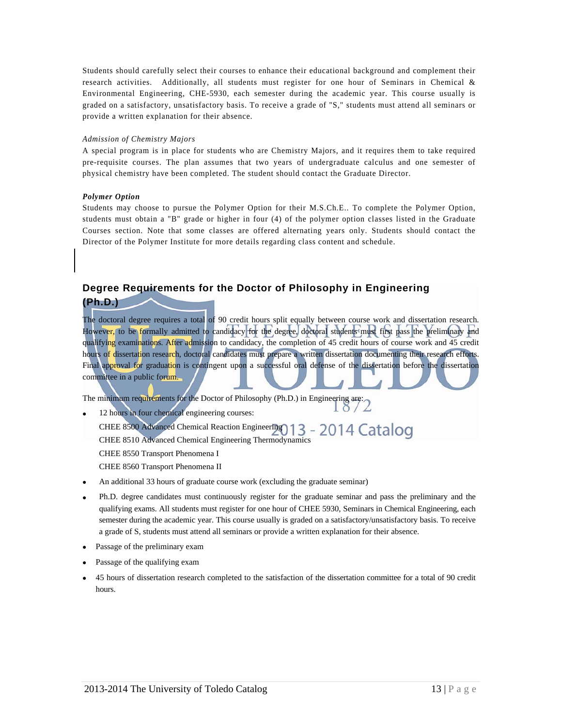Students should carefully select their courses to enhance their educational background and complement their research activities. Additionally, all students must register for one hour of Seminars in Chemical & Environmental Engineering, CHE-5930, each semester during the academic year. This course usually is graded on a satisfactory, unsatisfactory basis. To receive a grade of "S," students must attend all seminars or provide a written explanation for their absence.

#### *Admission of Chemistry Majors*

A special program is in place for students who are Chemistry Majors, and it requires them to take required pre-requisite courses. The plan assumes that two years of undergraduate calculus and one semester of physical chemistry have been completed. The student should contact the Graduate Director.

#### *Polymer Option*

Students may choose to pursue the Polymer Option for their M.S.Ch.E.. To complete the Polymer Option, students must obtain a "B" grade or higher in four (4) of the polymer option classes listed in the Graduate Courses section. Note that some classes are offered alternating years only. Students should contact the Director of the Polymer Institute for more details regarding class content and schedule.

# **Degree Requirements for the Doctor of Philosophy in Engineering**

#### **(Ph.D.)**

The doctoral degree requires a total of 90 credit hours split equally between course work and dissertation research. However, to be formally admitted to candidacy for the degree, doctoral students must first pass the preliminary and qualifying examinations. After admission to candidacy, the completion of 45 credit hours of course work and 45 credit hours of dissertation research, doctoral candidates must prepare a written dissertation documenting their research efforts. Final approval for graduation is contingent upon a successful oral defense of the dissertation before the dissertation committee in a public forum.

The minimum requirements for the Doctor of Philosophy (Ph.D.) in Engineering are:

- 12 hours in four chemical engineering courses: CHEE 8500 Advanced Chemical Reaction Engineering 013 - 2014 Catalog CHEE 8510 Advanced Chemical Engineering Thermodynamics CHEE 8550 Transport Phenomena I CHEE 8560 Transport Phenomena II
- An additional 33 hours of graduate course work (excluding the graduate seminar)
- Ph.D. degree candidates must continuously register for the graduate seminar and pass the preliminary and the qualifying exams. All students must register for one hour of CHEE 5930, Seminars in Chemical Engineering, each semester during the academic year. This course usually is graded on a satisfactory/unsatisfactory basis. To receive a grade of S, students must attend all seminars or provide a written explanation for their absence.
- Passage of the preliminary exam
- Passage of the qualifying exam
- 45 hours of dissertation research completed to the satisfaction of the dissertation committee for a total of 90 credit hours.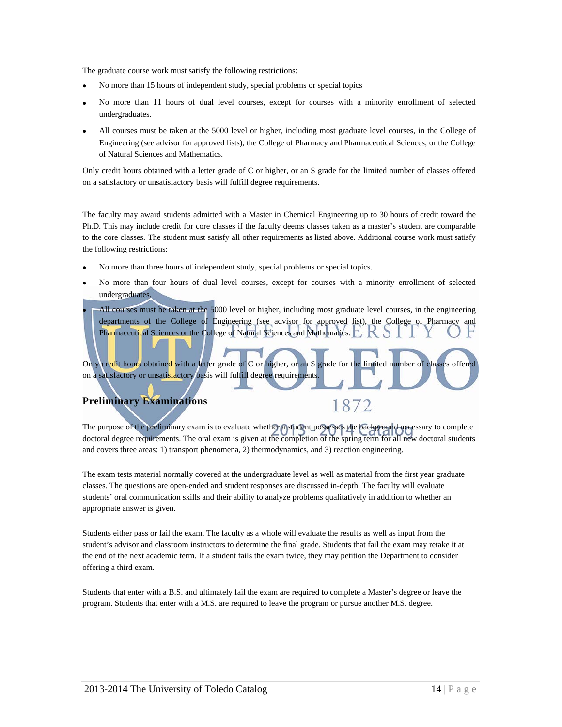The graduate course work must satisfy the following restrictions:

- No more than 15 hours of independent study, special problems or special topics
- No more than 11 hours of dual level courses, except for courses with a minority enrollment of selected undergraduates.
- All courses must be taken at the 5000 level or higher, including most graduate level courses, in the College of Engineering (see advisor for approved lists), the College of Pharmacy and Pharmaceutical Sciences, or the College of Natural Sciences and Mathematics.

Only credit hours obtained with a letter grade of C or higher, or an S grade for the limited number of classes offered on a satisfactory or unsatisfactory basis will fulfill degree requirements.

The faculty may award students admitted with a Master in Chemical Engineering up to 30 hours of credit toward the Ph.D. This may include credit for core classes if the faculty deems classes taken as a master's student are comparable to the core classes. The student must satisfy all other requirements as listed above. Additional course work must satisfy the following restrictions:

- No more than three hours of independent study, special problems or special topics.
- No more than four hours of dual level courses, except for courses with a minority enrollment of selected undergraduates.
- All courses must be taken at the 5000 level or higher, including most graduate level courses, in the engineering departments of the College of Engineering (see advisor for approved list), the College of Pharmacy and Pharmaceutical Sciences or the College of Natural Sciences and Mathematics.

Only credit hours obtained with a letter grade of C or higher, or an S grade for the limited number of classes offered on a satisfactory or unsatisfactory basis will fulfill degree requirements.

1872

### **Preliminary Examinations**

The purpose of the preliminary exam is to evaluate whether a student possesses the background necessary to complete doctoral degree requirements. The oral exam is given at the completion of the spring term for all new doctoral students and covers three areas: 1) transport phenomena, 2) thermodynamics, and 3) reaction engineering.

The exam tests material normally covered at the undergraduate level as well as material from the first year graduate classes. The questions are open-ended and student responses are discussed in-depth. The faculty will evaluate students' oral communication skills and their ability to analyze problems qualitatively in addition to whether an appropriate answer is given.

Students either pass or fail the exam. The faculty as a whole will evaluate the results as well as input from the student's advisor and classroom instructors to determine the final grade. Students that fail the exam may retake it at the end of the next academic term. If a student fails the exam twice, they may petition the Department to consider offering a third exam.

Students that enter with a B.S. and ultimately fail the exam are required to complete a Master's degree or leave the program. Students that enter with a M.S. are required to leave the program or pursue another M.S. degree.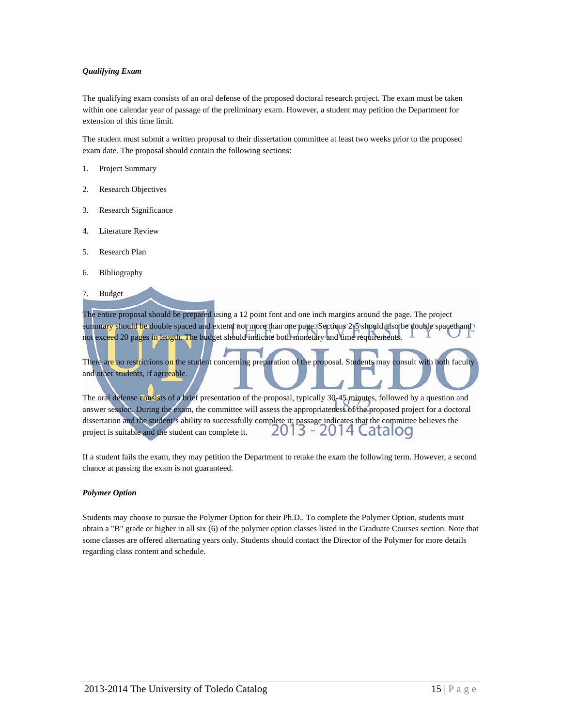#### *Qualifying Exam*

The qualifying exam consists of an oral defense of the proposed doctoral research project. The exam must be taken within one calendar year of passage of the preliminary exam. However, a student may petition the Department for extension of this time limit.

The student must submit a written proposal to their dissertation committee at least two weeks prior to the proposed exam date. The proposal should contain the following sections:

- 1. Project Summary
- 2. Research Objectives
- 3. Research Significance
- 4. Literature Review
- 5. Research Plan
- 6. Bibliography
- 7. Budget

The entire proposal should be prepared using a 12 point font and one inch margins around the page. The project summary should be double spaced and extend not more than one page. Sections 2+5 should also be double spaced and not exceed 20 pages in length. The budget should indicate both monetary and time requirements.

There are no restrictions on the student concerning preparation of the proposal. Students may consult with both faculty and other students, if agreeable.

The oral defense consists of a brief presentation of the proposal, typically 30-45 minutes, followed by a question and answer session. During the exam, the committee will assess the appropriateness of the proposed project for a doctoral dissertation and the student's ability to successfully complete it; passage indicates that the committee believes the project is suitable and the student can complete it. 2013 - 2014 Catalog

If a student fails the exam, they may petition the Department to retake the exam the following term. However, a second chance at passing the exam is not guaranteed.

#### *Polymer Option*

Students may choose to pursue the Polymer Option for their Ph.D.. To complete the Polymer Option, students must obtain a "B" grade or higher in all six (6) of the polymer option classes listed in the Graduate Courses section. Note that some classes are offered alternating years only. Students should contact the Director of the Polymer for more details regarding class content and schedule.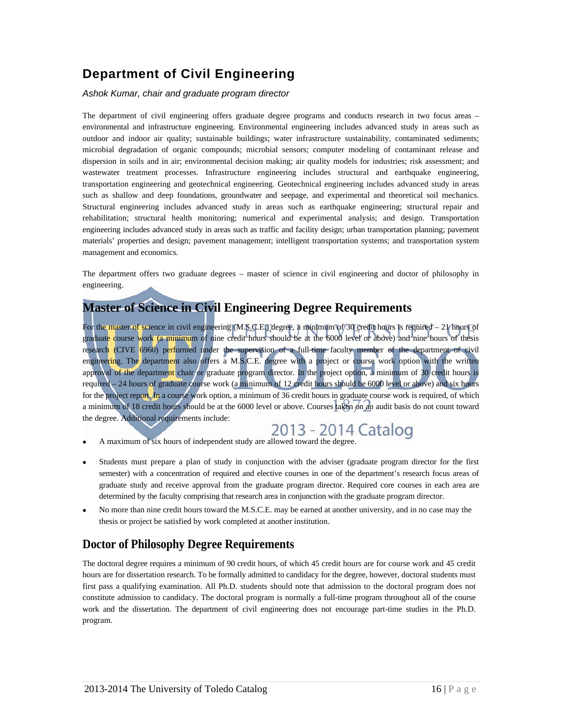# **Department of Civil Engineering**

#### *Ashok Kumar, chair and graduate program director*

The department of civil engineering offers graduate degree programs and conducts research in two focus areas – environmental and infrastructure engineering. Environmental engineering includes advanced study in areas such as outdoor and indoor air quality; sustainable buildings; water infrastructure sustainability, contaminated sediments; microbial degradation of organic compounds; microbial sensors; computer modeling of contaminant release and dispersion in soils and in air; environmental decision making; air quality models for industries; risk assessment; and wastewater treatment processes. Infrastructure engineering includes structural and earthquake engineering, transportation engineering and geotechnical engineering. Geotechnical engineering includes advanced study in areas such as shallow and deep foundations, groundwater and seepage, and experimental and theoretical soil mechanics. Structural engineering includes advanced study in areas such as earthquake engineering; structural repair and rehabilitation; structural health monitoring; numerical and experimental analysis; and design. Transportation engineering includes advanced study in areas such as traffic and facility design; urban transportation planning; pavement materials' properties and design; pavement management; intelligent transportation systems; and transportation system management and economics.

The department offers two graduate degrees – master of science in civil engineering and doctor of philosophy in engineering.

# **Master of Science in Civil Engineering Degree Requirements**

For the master of science in civil engineering (M.S.C.E.) degree, a minimum of 30 credit hours is required – 21 hours of graduate course work (a minimum of nine credit hours should be at the 6000 level or above) and nine hours of thesis research (CIVE 6960) performed under the supervision of a full-time faculty member of the department of civil engineering. The department also offers a M.S.C.E. degree with a project or course work option with the written approval of the department chair or graduate program director. In the project option, a minimum of 30 credit hours is required – 24 hours of graduate course work (a minimum of 12 credit hours should be 6000 level or above) and six hours for the project report. In a course work option, a minimum of 36 credit hours in graduate course work is required, of which a minimum of 18 credit hours should be at the 6000 level or above. Courses taken on an audit basis do not count toward the degree. Additional requirements include:

- A maximum of six hours of independent study are allowed toward the degree.
- Students must prepare a plan of study in conjunction with the adviser (graduate program director for the first semester) with a concentration of required and elective courses in one of the department's research focus areas of graduate study and receive approval from the graduate program director. Required core courses in each area are determined by the faculty comprising that research area in conjunction with the graduate program director.
- No more than nine credit hours toward the M.S.C.E. may be earned at another university, and in no case may the thesis or project be satisfied by work completed at another institution.

### **Doctor of Philosophy Degree Requirements**

The doctoral degree requires a minimum of 90 credit hours, of which 45 credit hours are for course work and 45 credit hours are for dissertation research. To be formally admitted to candidacy for the degree, however, doctoral students must first pass a qualifying examination. All Ph.D. students should note that admission to the doctoral program does not constitute admission to candidacy. The doctoral program is normally a full-time program throughout all of the course work and the dissertation. The department of civil engineering does not encourage part-time studies in the Ph.D. program.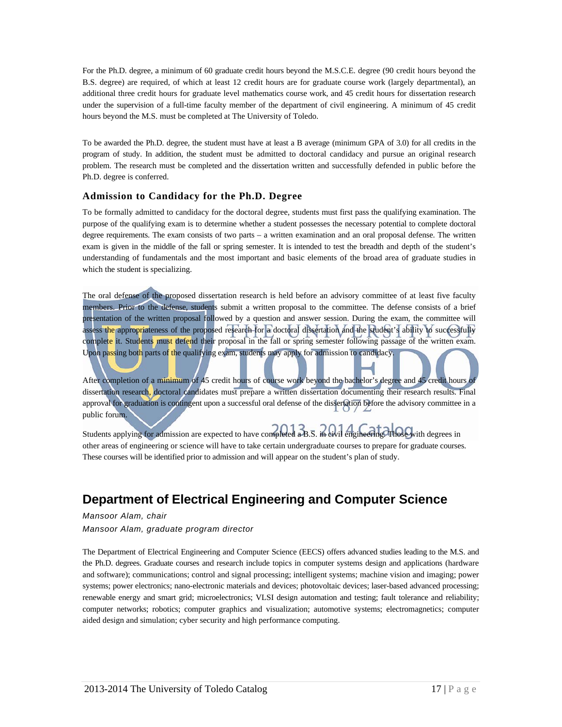For the Ph.D. degree, a minimum of 60 graduate credit hours beyond the M.S.C.E. degree (90 credit hours beyond the B.S. degree) are required, of which at least 12 credit hours are for graduate course work (largely departmental), an additional three credit hours for graduate level mathematics course work, and 45 credit hours for dissertation research under the supervision of a full-time faculty member of the department of civil engineering. A minimum of 45 credit hours beyond the M.S. must be completed at The University of Toledo.

To be awarded the Ph.D. degree, the student must have at least a B average (minimum GPA of 3.0) for all credits in the program of study. In addition, the student must be admitted to doctoral candidacy and pursue an original research problem. The research must be completed and the dissertation written and successfully defended in public before the Ph.D. degree is conferred.

#### **Admission to Candidacy for the Ph.D. Degree**

To be formally admitted to candidacy for the doctoral degree, students must first pass the qualifying examination. The purpose of the qualifying exam is to determine whether a student possesses the necessary potential to complete doctoral degree requirements. The exam consists of two parts – a written examination and an oral proposal defense. The written exam is given in the middle of the fall or spring semester. It is intended to test the breadth and depth of the student's understanding of fundamentals and the most important and basic elements of the broad area of graduate studies in which the student is specializing.

The oral defense of the proposed dissertation research is held before an advisory committee of at least five faculty members. Prior to the defense, students submit a written proposal to the committee. The defense consists of a brief presentation of the written proposal followed by a question and answer session. During the exam, the committee will assess the appropriateness of the proposed research for a doctoral dissertation and the student's ability to successfully complete it. Students must defend their proposal in the fall or spring semester following passage of the written exam. Upon passing both parts of the qualifying exam, students may apply for admission to candidacy.

After completion of a minimum of 45 credit hours of course work beyond the bachelor's degree and 45 credit hours of dissertation research, doctoral candidates must prepare a written dissertation documenting their research results. Final approval for graduation is contingent upon a successful oral defense of the dissertation before the advisory committee in a public forum.

Students applying for admission are expected to have completed a B.S. in civil engineering. Those with degrees in other areas of engineering or science will have to take certain undergraduate courses to prepare for graduate courses. These courses will be identified prior to admission and will appear on the student's plan of study.

# **Department of Electrical Engineering and Computer Science**

*Mansoor Alam, chair* 

*Mansoor Alam, graduate program director* 

The Department of Electrical Engineering and Computer Science (EECS) offers advanced studies leading to the M.S. and the Ph.D. degrees. Graduate courses and research include topics in computer systems design and applications (hardware and software); communications; control and signal processing; intelligent systems; machine vision and imaging; power systems; power electronics; nano-electronic materials and devices; photovoltaic devices; laser-based advanced processing; renewable energy and smart grid; microelectronics; VLSI design automation and testing; fault tolerance and reliability; computer networks; robotics; computer graphics and visualization; automotive systems; electromagnetics; computer aided design and simulation; cyber security and high performance computing.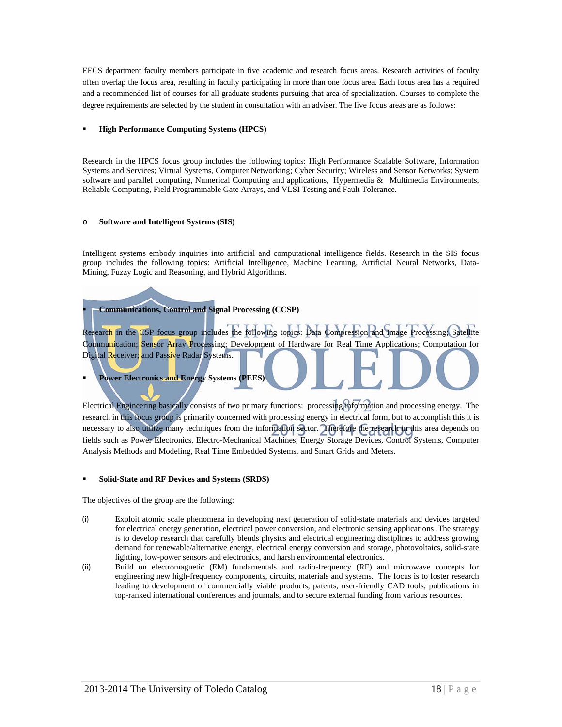EECS department faculty members participate in five academic and research focus areas. Research activities of faculty often overlap the focus area, resulting in faculty participating in more than one focus area. Each focus area has a required and a recommended list of courses for all graduate students pursuing that area of specialization. Courses to complete the degree requirements are selected by the student in consultation with an adviser. The five focus areas are as follows:

#### **High Performance Computing Systems (HPCS)**

Research in the HPCS focus group includes the following topics: High Performance Scalable Software, Information Systems and Services; Virtual Systems, Computer Networking; Cyber Security; Wireless and Sensor Networks; System software and parallel computing, Numerical Computing and applications, Hypermedia & Multimedia Environments, Reliable Computing, Field Programmable Gate Arrays, and VLSI Testing and Fault Tolerance.

#### o **Software and Intelligent Systems (SIS)**

Intelligent systems embody inquiries into artificial and computational intelligence fields. Research in the SIS focus group includes the following topics: Artificial Intelligence, Machine Learning, Artificial Neural Networks, Data-Mining, Fuzzy Logic and Reasoning, and Hybrid Algorithms.

#### **Communications, Control and Signal Processing (CCSP)**

Research in the CSP focus group includes the following topics: Data Compression and Image Processing; Satellite Communication; Sensor Array Processing; Development of Hardware for Real Time Applications; Computation for Digital Receiver; and Passive Radar Systems.

#### **Power Electronics and Energy Systems (PEES)**

Electrical Engineering basically consists of two primary functions: processing information and processing energy. The research in this focus group is primarily concerned with processing energy in electrical form, but to accomplish this it is necessary to also utilize many techniques from the information sector. Therefore the research in this area depends on fields such as Power Electronics, Electro-Mechanical Machines, Energy Storage Devices, Control Systems, Computer Analysis Methods and Modeling, Real Time Embedded Systems, and Smart Grids and Meters.

#### **Solid-State and RF Devices and Systems (SRDS)**

The objectives of the group are the following:

- (i) Exploit atomic scale phenomena in developing next generation of solid-state materials and devices targeted for electrical energy generation, electrical power conversion, and electronic sensing applications .The strategy is to develop research that carefully blends physics and electrical engineering disciplines to address growing demand for renewable/alternative energy, electrical energy conversion and storage, photovoltaics, solid-state lighting, low-power sensors and electronics, and harsh environmental electronics.
- (ii) Build on electromagnetic (EM) fundamentals and radio-frequency (RF) and microwave concepts for engineering new high-frequency components, circuits, materials and systems. The focus is to foster research leading to development of commercially viable products, patents, user-friendly CAD tools, publications in top-ranked international conferences and journals, and to secure external funding from various resources.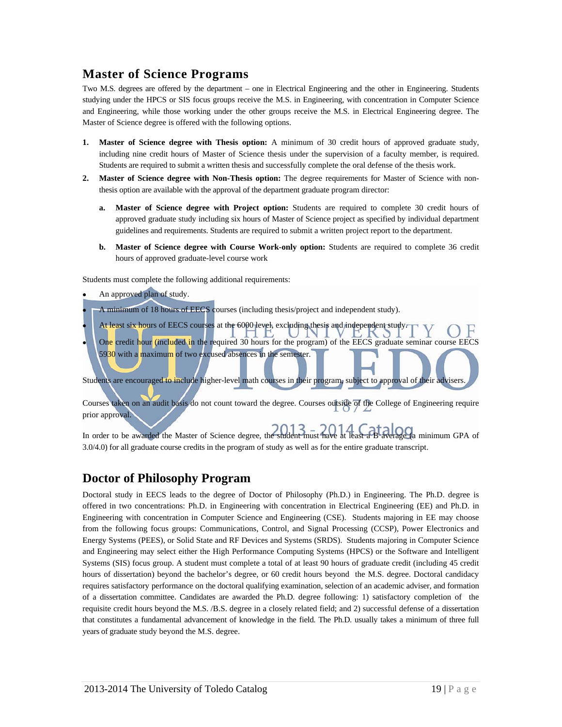# **Master of Science Programs**

Two M.S. degrees are offered by the department – one in Electrical Engineering and the other in Engineering. Students studying under the HPCS or SIS focus groups receive the M.S. in Engineering, with concentration in Computer Science and Engineering, while those working under the other groups receive the M.S. in Electrical Engineering degree. The Master of Science degree is offered with the following options.

- **1. Master of Science degree with Thesis option:** A minimum of 30 credit hours of approved graduate study, including nine credit hours of Master of Science thesis under the supervision of a faculty member, is required. Students are required to submit a written thesis and successfully complete the oral defense of the thesis work.
- **2. Master of Science degree with Non-Thesis option:** The degree requirements for Master of Science with nonthesis option are available with the approval of the department graduate program director:
	- **a. Master of Science degree with Project option:** Students are required to complete 30 credit hours of approved graduate study including six hours of Master of Science project as specified by individual department guidelines and requirements. Students are required to submit a written project report to the department.
	- **b. Master of Science degree with Course Work-only option:** Students are required to complete 36 credit hours of approved graduate-level course work

Students must complete the following additional requirements:

- An approved plan of study.
- A minimum of 18 hours of EECS courses (including thesis/project and independent study).
- At least six hours of EECS courses at the 6000 level, excluding thesis and independent study. One credit hour (included in the required 30 hours for the program) of the EECS graduate seminar course EECS 5930 with a maximum of two excused absences in the semester.

Students are encouraged to include higher-level math courses in their program, subject to approval of their advisers.

Courses taken on an audit basis do not count toward the degree. Courses outside of the College of Engineering require prior approval.

In order to be awarded the Master of Science degree, the student must have at least a B average (a minimum GPA of 3.0/4.0) for all graduate course credits in the program of study as well as for the entire graduate transcript.

### **Doctor of Philosophy Program**

Doctoral study in EECS leads to the degree of Doctor of Philosophy (Ph.D.) in Engineering. The Ph.D. degree is offered in two concentrations: Ph.D. in Engineering with concentration in Electrical Engineering (EE) and Ph.D. in Engineering with concentration in Computer Science and Engineering (CSE). Students majoring in EE may choose from the following focus groups: Communications, Control, and Signal Processing (CCSP), Power Electronics and Energy Systems (PEES), or Solid State and RF Devices and Systems (SRDS). Students majoring in Computer Science and Engineering may select either the High Performance Computing Systems (HPCS) or the Software and Intelligent Systems (SIS) focus group. A student must complete a total of at least 90 hours of graduate credit (including 45 credit hours of dissertation) beyond the bachelor's degree, or 60 credit hours beyond the M.S. degree. Doctoral candidacy requires satisfactory performance on the doctoral qualifying examination, selection of an academic adviser, and formation of a dissertation committee. Candidates are awarded the Ph.D. degree following: 1) satisfactory completion of the requisite credit hours beyond the M.S. /B.S. degree in a closely related field; and 2) successful defense of a dissertation that constitutes a fundamental advancement of knowledge in the field. The Ph.D. usually takes a minimum of three full years of graduate study beyond the M.S. degree.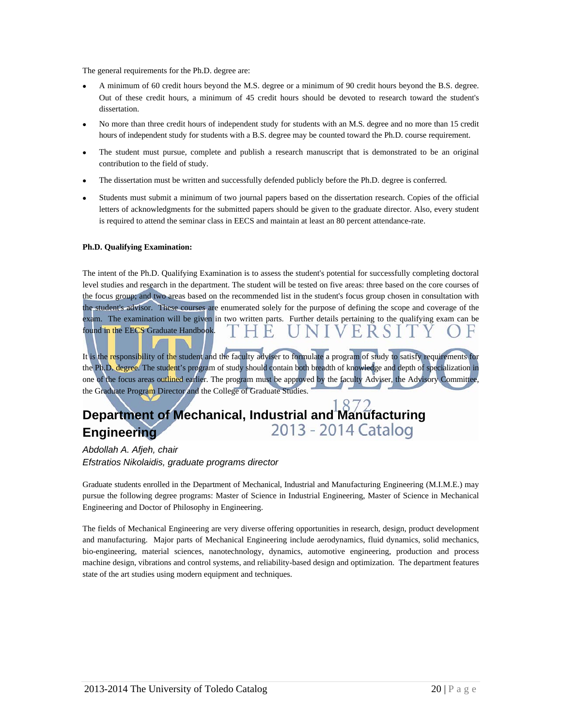The general requirements for the Ph.D. degree are:

- A minimum of 60 credit hours beyond the M.S. degree or a minimum of 90 credit hours beyond the B.S. degree. Out of these credit hours, a minimum of 45 credit hours should be devoted to research toward the student's dissertation.
- No more than three credit hours of independent study for students with an M.S. degree and no more than 15 credit hours of independent study for students with a B.S. degree may be counted toward the Ph.D. course requirement.
- The student must pursue, complete and publish a research manuscript that is demonstrated to be an original contribution to the field of study.
- The dissertation must be written and successfully defended publicly before the Ph.D. degree is conferred.
- Students must submit a minimum of two journal papers based on the dissertation research. Copies of the official letters of acknowledgments for the submitted papers should be given to the graduate director. Also, every student is required to attend the seminar class in EECS and maintain at least an 80 percent attendance-rate.

#### **Ph.D. Qualifying Examination:**

The intent of the Ph.D. Qualifying Examination is to assess the student's potential for successfully completing doctoral level studies and research in the department. The student will be tested on five areas: three based on the core courses of the focus group; and two areas based on the recommended list in the student's focus group chosen in consultation with the student's advisor. These courses are enumerated solely for the purpose of defining the scope and coverage of the exam. The examination will be given in two written parts. Further details pertaining to the qualifying exam can be found in the EECS Graduate Handbook.

It is the responsibility of the student and the faculty adviser to formulate a program of study to satisfy requirements for the Ph.D. degree. The student's program of study should contain both breadth of knowledge and depth of specialization in one of the focus areas outlined earlier. The program must be approved by the faculty Adviser, the Advisory Committee, the Graduate Program Director and the College of Graduate Studies.

#### **Department of Mechanical, Industrial and Manufacturing** 2013 - 2014 Catalog **Engineering**

*Abdollah A. Afjeh, chair Efstratios Nikolaidis, graduate programs director* 

Graduate students enrolled in the Department of Mechanical, Industrial and Manufacturing Engineering (M.I.M.E.) may pursue the following degree programs: Master of Science in Industrial Engineering, Master of Science in Mechanical Engineering and Doctor of Philosophy in Engineering.

The fields of Mechanical Engineering are very diverse offering opportunities in research, design, product development and manufacturing. Major parts of Mechanical Engineering include aerodynamics, fluid dynamics, solid mechanics, bio-engineering, material sciences, nanotechnology, dynamics, automotive engineering, production and process machine design, vibrations and control systems, and reliability-based design and optimization. The department features state of the art studies using modern equipment and techniques.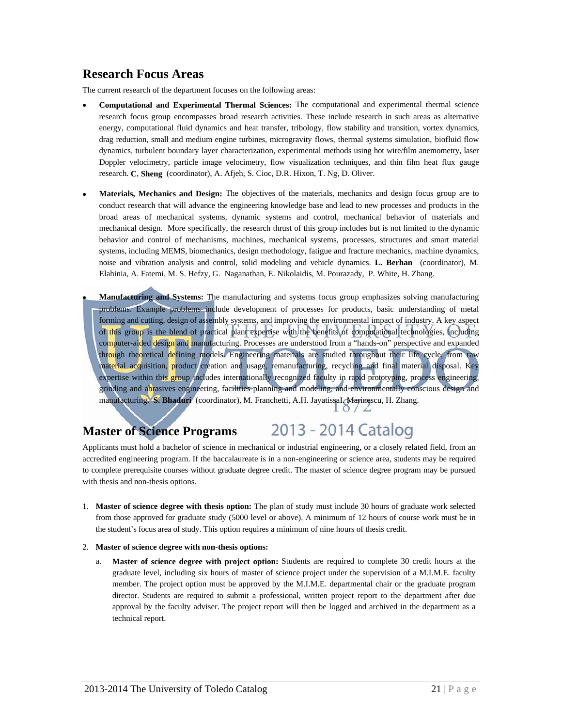### **Research Focus Areas**

The current research of the department focuses on the following areas:

- **Computational and Experimental Thermal Sciences:** The computational and experimental thermal science research focus group encompasses broad research activities. These include research in such areas as alternative energy, computational fluid dynamics and heat transfer, tribology, flow stability and transition, vortex dynamics, drag reduction, small and medium engine turbines, microgravity flows, thermal systems simulation, biofluid flow dynamics, turbulent boundary layer characterization, experimental methods using hot wire/film anemometry, laser Doppler velocimetry, particle image velocimetry, flow visualization techniques, and thin film heat flux gauge research. **C. Sheng** (coordinator), A. Afjeh, S. Cioc, D.R. Hixon, T. Ng, D. Oliver.
- **Materials, Mechanics and Design:** The objectives of the materials, mechanics and design focus group are to conduct research that will advance the engineering knowledge base and lead to new processes and products in the broad areas of mechanical systems, dynamic systems and control, mechanical behavior of materials and mechanical design. More specifically, the research thrust of this group includes but is not limited to the dynamic behavior and control of mechanisms, machines, mechanical systems, processes, structures and smart material systems, including MEMS, biomechanics, design methodology, fatigue and fracture mechanics, machine dynamics, noise and vibration analysis and control, solid modeling and vehicle dynamics. **L. Berhan** (coordinator), M. Elahinia, A. Fatemi, M. S. Hefzy, G. Naganathan, E. Nikolaidis, M. Pourazady, P. White, H. Zhang.
- **Manufacturing and Systems:** The manufacturing and systems focus group emphasizes solving manufacturing problems. Example problems include development of processes for products, basic understanding of metal forming and cutting, design of assembly systems, and improving the environmental impact of industry. A key aspect of this group is the blend of practical plant expertise with the benefits of computational technologies, including computer-aided design and manufacturing. Processes are understood from a "hands-on" perspective and expanded through theoretical defining models. Engineering materials are studied throughout their life cycle, from raw material acquisition, product creation and usage, remanufacturing, recycling and final material disposal. Key expertise within this group includes internationally recognized faculty in rapid prototyping, process engineering, grinding and abrasives engineering, facilities planning and modeling, and environmentally conscious design and manufacturing. **S. Bhaduri** (coordinator), M. Franchetti, A.H. JayatissaI. Marinescu, H. Zhang.

# **Master of Science Programs**

# 2013 - 2014 Catalog

Applicants must hold a bachelor of science in mechanical or industrial engineering, or a closely related field, from an accredited engineering program. If the baccalaureate is in a non-engineering or science area, students may be required to complete prerequisite courses without graduate degree credit. The master of science degree program may be pursued with thesis and non-thesis options.

- 1. **Master of science degree with thesis option:** The plan of study must include 30 hours of graduate work selected from those approved for graduate study (5000 level or above). A minimum of 12 hours of course work must be in the student's focus area of study. This option requires a minimum of nine hours of thesis credit.
- 2. **Master of science degree with non-thesis options:**
	- a. **Master of science degree with project option:** Students are required to complete 30 credit hours at the graduate level, including six hours of master of science project under the supervision of a M.I.M.E. faculty member. The project option must be approved by the M.I.M.E. departmental chair or the graduate program director. Students are required to submit a professional, written project report to the department after due approval by the faculty adviser. The project report will then be logged and archived in the department as a technical report.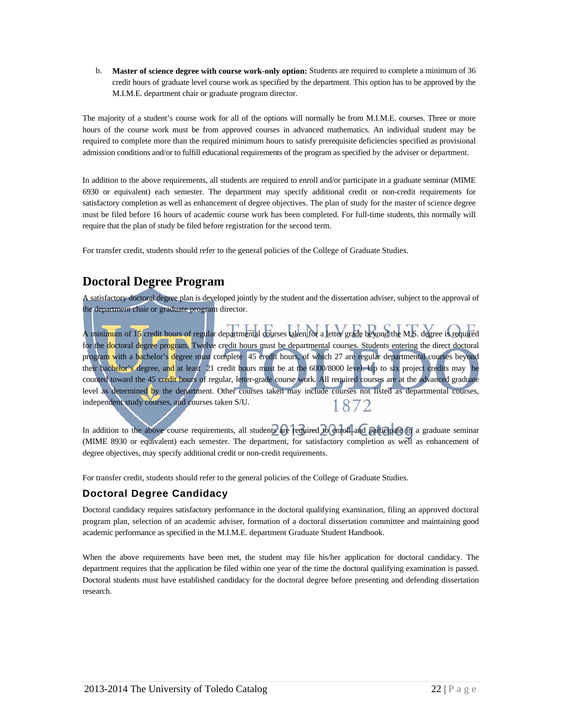b. **Master of science degree with course work-only option:** Students are required to complete a minimum of 36 credit hours of graduate level course work as specified by the department. This option has to be approved by the M.I.M.E. department chair or graduate program director.

The majority of a student's course work for all of the options will normally be from M.I.M.E. courses. Three or more hours of the course work must be from approved courses in advanced mathematics. An individual student may be required to complete more than the required minimum hours to satisfy prerequisite deficiencies specified as provisional admission conditions and/or to fulfill educational requirements of the program as specified by the adviser or department.

In addition to the above requirements, all students are required to enroll and/or participate in a graduate seminar (MIME 6930 or equivalent) each semester. The department may specify additional credit or non-credit requirements for satisfactory completion as well as enhancement of degree objectives. The plan of study for the master of science degree must be filed before 16 hours of academic course work has been completed. For full-time students, this normally will require that the plan of study be filed before registration for the second term.

For transfer credit, students should refer to the general policies of the College of Graduate Studies.

# **Doctoral Degree Program**

A satisfactory doctoral degree plan is developed jointly by the student and the dissertation adviser, subject to the approval of the department chair or graduate program director.

A minimum of 15 credit hours of regular departmental courses taken for a letter grade beyond the M.S. degree is required for the doctoral degree program. Twelve credit hours must be departmental courses. Students entering the direct doctoral program with a bachelor's degree must complete 45 credit hours, of which 27 are regular departmental courses beyond their bachelor's degree, and at least 21 credit hours must be at the 6000/8000 level. Up to six project credits may be counted toward the 45 credit hours of regular, letter-grade course work. All required courses are at the advanced graduate level as determined by the department. Other courses taken may include courses not listed as departmental courses, independent study courses, and courses taken S/U. 1872

In addition to the above course requirements, all students are required to enroll and participate in a graduate seminar (MIME 8930 or equivalent) each semester. The department, for satisfactory completion as well as enhancement of degree objectives, may specify additional credit or non-credit requirements.

For transfer credit, students should refer to the general policies of the College of Graduate Studies.

### **Doctoral Degree Candidacy**

Doctoral candidacy requires satisfactory performance in the doctoral qualifying examination, filing an approved doctoral program plan, selection of an academic adviser, formation of a doctoral dissertation committee and maintaining good academic performance as specified in the M.I.M.E. department Graduate Student Handbook.

When the above requirements have been met, the student may file his/her application for doctoral candidacy. The department requires that the application be filed within one year of the time the doctoral qualifying examination is passed. Doctoral students must have established candidacy for the doctoral degree before presenting and defending dissertation research.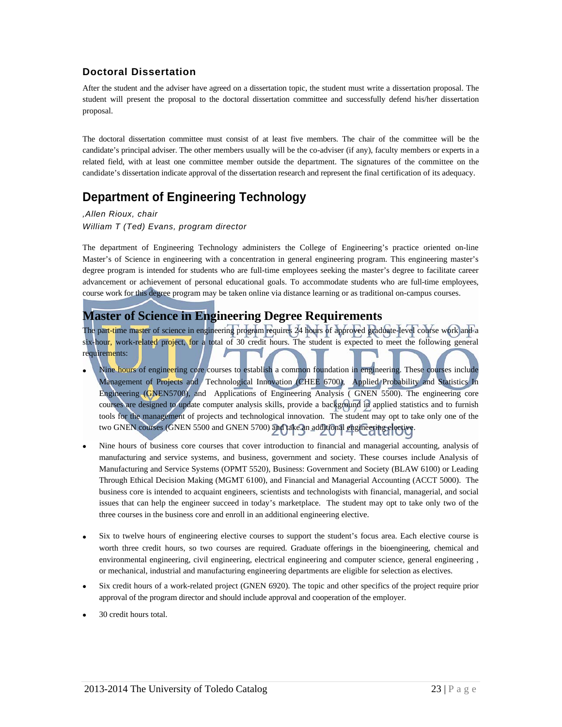### **Doctoral Dissertation**

After the student and the adviser have agreed on a dissertation topic, the student must write a dissertation proposal. The student will present the proposal to the doctoral dissertation committee and successfully defend his/her dissertation proposal.

The doctoral dissertation committee must consist of at least five members. The chair of the committee will be the candidate's principal adviser. The other members usually will be the co-adviser (if any), faculty members or experts in a related field, with at least one committee member outside the department. The signatures of the committee on the candidate's dissertation indicate approval of the dissertation research and represent the final certification of its adequacy.

# **Department of Engineering Technology**

*,Allen Rioux, chair William T (Ted) Evans, program director* 

The department of Engineering Technology administers the College of Engineering's practice oriented on-line Master's of Science in engineering with a concentration in general engineering program. This engineering master's degree program is intended for students who are full-time employees seeking the master's degree to facilitate career advancement or achievement of personal educational goals. To accommodate students who are full-time employees, course work for this degree program may be taken online via distance learning or as traditional on-campus courses.

### **Master of Science in Engineering Degree Requirements**

The part-time master of science in engineering program requires 24 hours of approved graduate-level course work and a six-hour, work-related project, for a total of 30 credit hours. The student is expected to meet the following general requirements:

- Nine hours of engineering core courses to establish a common foundation in engineering. These courses include Management of Projects and Technological Innovation (CHEE 6700), Applied Probability and Statistics In Engineering (GNEN5700), and Applications of Engineering Analysis ( GNEN 5500). The engineering core courses are designed to update computer analysis skills, provide a background in applied statistics and to furnish tools for the management of projects and technological innovation. The student may opt to take only one of the two GNEN courses (GNEN 5500 and GNEN 5700) and take an additional engineering elective.
- Nine hours of business core courses that cover introduction to financial and managerial accounting, analysis of manufacturing and service systems, and business, government and society. These courses include Analysis of Manufacturing and Service Systems (OPMT 5520), Business: Government and Society (BLAW 6100) or Leading Through Ethical Decision Making (MGMT 6100), and Financial and Managerial Accounting (ACCT 5000). The business core is intended to acquaint engineers, scientists and technologists with financial, managerial, and social issues that can help the engineer succeed in today's marketplace. The student may opt to take only two of the three courses in the business core and enroll in an additional engineering elective.
- Six to twelve hours of engineering elective courses to support the student's focus area. Each elective course is worth three credit hours, so two courses are required. Graduate offerings in the bioengineering, chemical and environmental engineering, civil engineering, electrical engineering and computer science, general engineering , or mechanical, industrial and manufacturing engineering departments are eligible for selection as electives.
- Six credit hours of a work-related project (GNEN 6920). The topic and other specifics of the project require prior approval of the program director and should include approval and cooperation of the employer.
- 30 credit hours total.